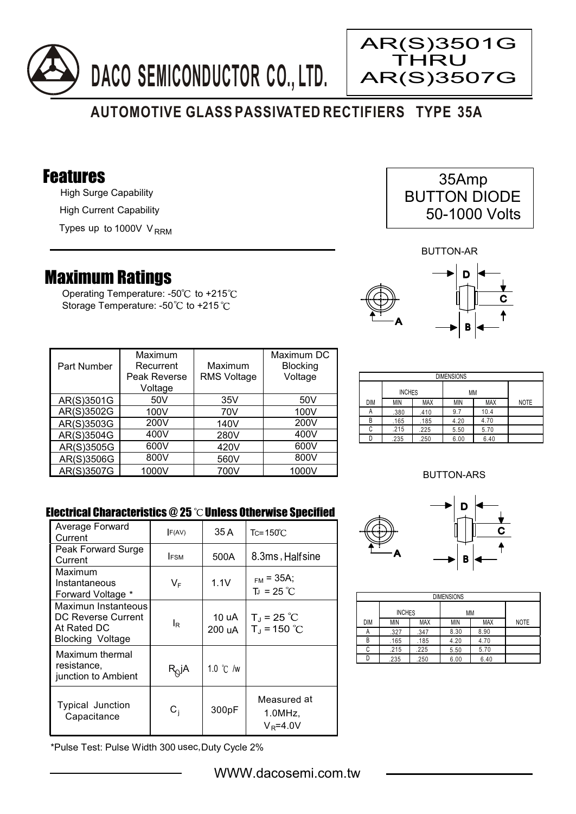



## **AUTOMOTIVE GLASS PASSIVATED RECTIFIERS TYPE 35A**

### Features

High Surge Capability High Current Capability

Types up to 1000V V<sub>RRM</sub>

# Maximum Ratings

Operating Temperature: - $50^{\circ}$ C to +215 $^{\circ}$ C Storage Temperature: -50°C to +215°C

| 35Amp               |  |
|---------------------|--|
| <b>BUTTON DIODE</b> |  |
| 50-1000 Volts       |  |

BUTTON-AR



| <b>Part Number</b> | Maximum<br>Recurrent<br>Peak Reverse<br>Voltage | Maximum<br><b>RMS Voltage</b> | Maximum DC<br><b>Blocking</b><br>Voltage |
|--------------------|-------------------------------------------------|-------------------------------|------------------------------------------|
| AR(S)3501G         | 50V                                             | 35V                           | 50 <sub>V</sub>                          |
| AR(S)3502G         | 100V                                            | 70V                           | 100V                                     |
| AR(S)3503G         | 200V                                            | 140V                          | 200V                                     |
| AR(S)3504G         | 400V                                            | 280V                          | 400V                                     |
| AR(S)3505G         | 600V                                            | 420V                          | 600V                                     |
| AR(S)3506G         | 800V                                            | 560V                          | 800V                                     |
| AR(S)3507G         | 1000V                                           | 700V                          | 1000V                                    |

| <b>DIMENSIONS</b> |               |            |      |            |             |  |
|-------------------|---------------|------------|------|------------|-------------|--|
|                   | <b>INCHES</b> |            | МM   |            |             |  |
| DIM               | MIN           | <b>MAX</b> | MIN  | <b>MAX</b> | <b>NOTE</b> |  |
| А                 | .380          | .410       | 9.7  | 10.4       |             |  |
| В                 | .165          | .185       | 4.20 | 4.70       |             |  |
| С                 | .215          | .225       | 5.50 | 5.70       |             |  |
|                   | .235          | .250       | 6.00 | 6.40       |             |  |

### BUTTON-ARS

D

 $\mathbf c$ 

### Electrical Characteristics  $@25$   $^{\circ}$ C Unless Otherwise Specified

| Average Forward<br>Current                                                   | F(AV)                   | 35 A               | $Tc = 150^{\circ}$ C                  |
|------------------------------------------------------------------------------|-------------------------|--------------------|---------------------------------------|
| Peak Forward Surge<br>Current                                                | <b>IFSM</b>             | 500A               | 8.3ms, Halfsine                       |
| Maximum<br>Instantaneous<br>Forward Voltage *                                | VF                      | 1.1V               | $_{FM}$ = 35A;<br>$T_{J}$ = 25 °C     |
| Maximun Instanteous<br>DC Reverse Current<br>At Rated DC<br>Blocking Voltage | le                      | 10 uA<br>200 uA    | $T_{J}$ = 25 °C<br>$T_{J}$ = 150 °C   |
| Maximum thermal<br>resistance,<br>junction to Ambient                        | $R_Q$ jA                | 1.0 $\degree$ C /w |                                       |
| <b>Typical Junction</b><br>Capacitance                                       | $\mathsf{C}_\mathsf{i}$ | 300pF              | Measured at<br>1.0MHz<br>$V_R = 4.0V$ |

DIMENSIONS INCHES MM DIM MIN MAX MIN MAX NOTE .327 .347 8.30 8.90 B

.165 .185 4.20 4.70  $225$  5.50 5.70 .235 .250 6.00 6.40

A B  $\overline{c}$  $\overline{D}$ 

 $.215$ 

A

\*Pulse Test: Pulse Width 300 usec,Duty Cycle 2%